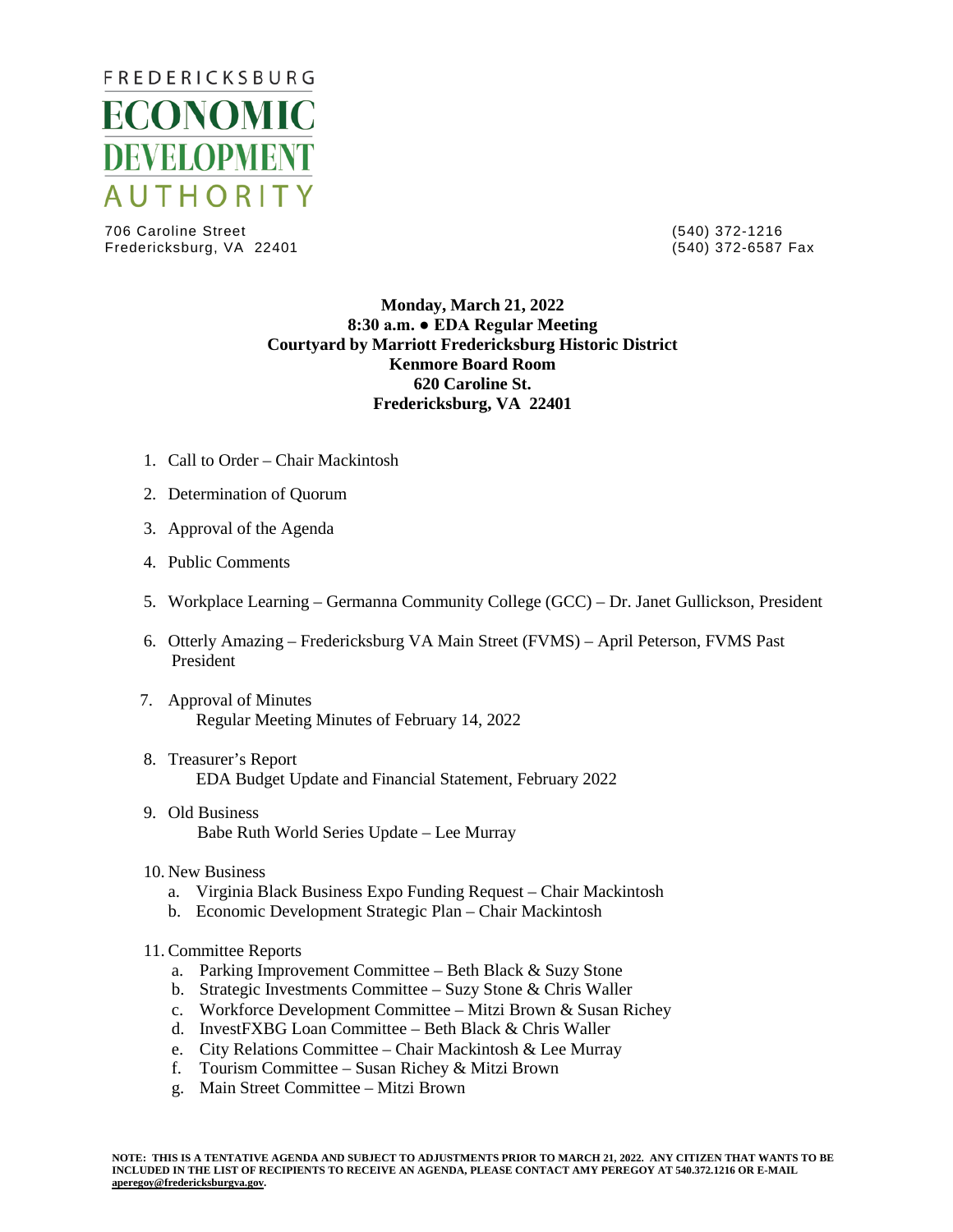

706 Caroline Street (540) 372-1216 Fredericksburg, VA 22401

## **Monday, March 21, 2022 8:30 a.m. ● EDA Regular Meeting Courtyard by Marriott Fredericksburg Historic District Kenmore Board Room 620 Caroline St. Fredericksburg, VA 22401**

- 1. Call to Order Chair Mackintosh
- 2. Determination of Quorum
- 3. Approval of the Agenda
- 4. Public Comments
- 5. Workplace Learning Germanna Community College (GCC) Dr. Janet Gullickson, President
- 6. Otterly Amazing Fredericksburg VA Main Street (FVMS) April Peterson, FVMS Past President
- 7. Approval of Minutes Regular Meeting Minutes of February 14, 2022
- 8. Treasurer's Report EDA Budget Update and Financial Statement, February 2022
- 9. Old Business Babe Ruth World Series Update – Lee Murray
- 10. New Business
	- a. Virginia Black Business Expo Funding Request Chair Mackintosh
	- b. Economic Development Strategic Plan Chair Mackintosh
- 11. Committee Reports
	- a. Parking Improvement Committee Beth Black & Suzy Stone
	- b. Strategic Investments Committee Suzy Stone & Chris Waller
	- c. Workforce Development Committee Mitzi Brown & Susan Richey
	- d. InvestFXBG Loan Committee Beth Black & Chris Waller
	- e. City Relations Committee Chair Mackintosh & Lee Murray
	- f. Tourism Committee Susan Richey & Mitzi Brown
	- g. Main Street Committee Mitzi Brown